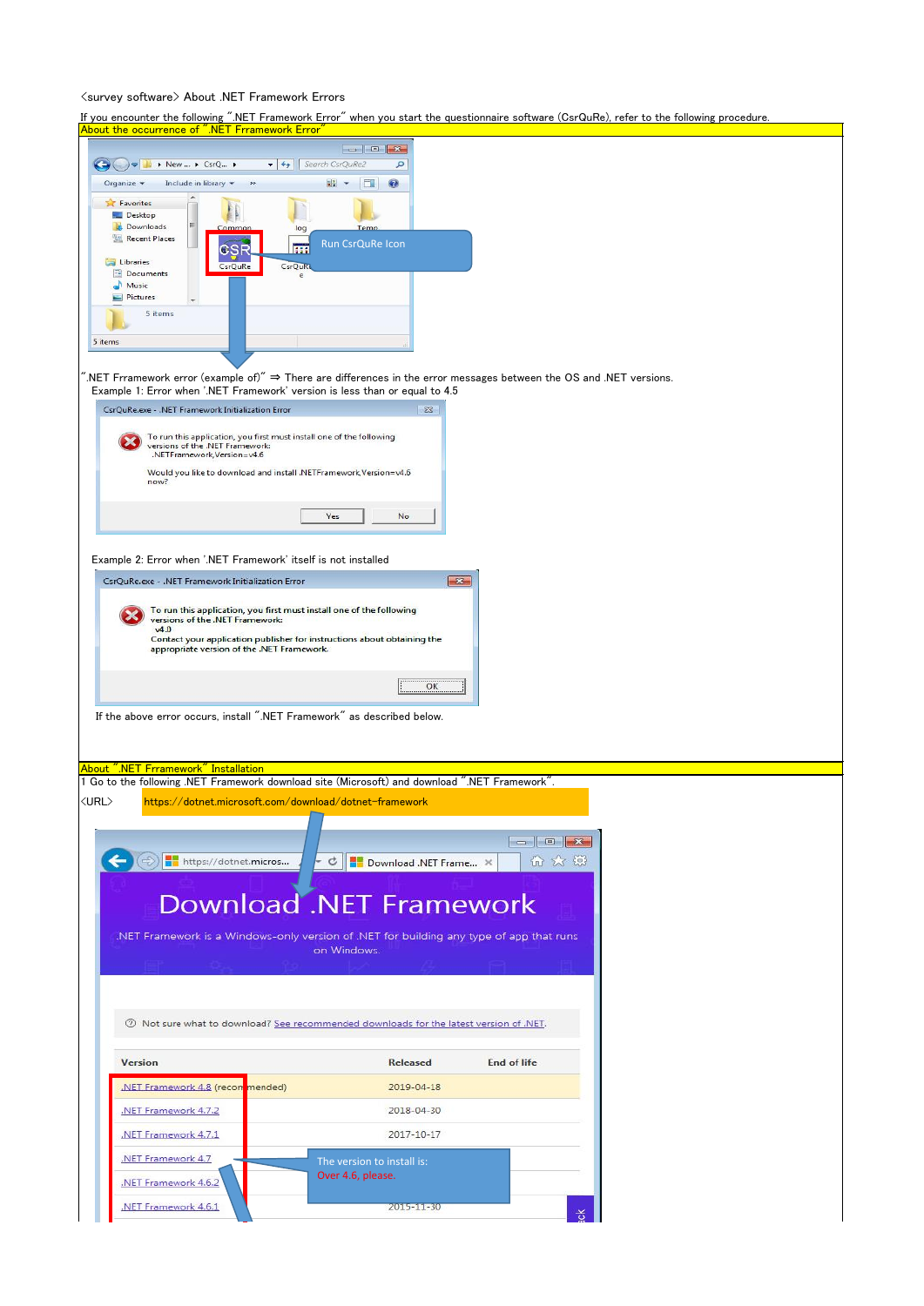## <survey software> About .NET Framework Errors

If you encounter the following ".NET Framework Error" when you start the questionnaire software (CsrQuRe), refer to the following procedure.

| About the occurrence of ".NET Frramework Error"                                                                                                      |  |
|------------------------------------------------------------------------------------------------------------------------------------------------------|--|
| $\begin{array}{c c c c c c} \hline \multicolumn{3}{c }{\mathbf{C}} & \multicolumn{3}{c }{\mathbf{D}} & \multicolumn{3}{c }{\mathbf{X}} \end{array}$  |  |
| $\star$ $\star$ Search CsrQuRe2<br>▶ New  ▶ CsrQ ▶<br>م<br>Include in library<br>H -<br>$\circledcirc$<br>Organize v<br><b>IT B</b><br>$\rightarrow$ |  |
| <b>Favorites</b>                                                                                                                                     |  |
| Desktop<br><b>Downloads</b><br>Temp<br>Common<br>log                                                                                                 |  |
| Recent Places<br>Run CsrQuRe Icon<br>225<br>CSR                                                                                                      |  |
| Libraries<br>CsrQuRe<br>CsrQuRe<br>Documents                                                                                                         |  |
| Music<br>Pictures                                                                                                                                    |  |
| 5 items                                                                                                                                              |  |
| 5 items                                                                                                                                              |  |
|                                                                                                                                                      |  |
| $\hat{B}$ NET Frramework error (example of)" ⇒ There are differences in the error messages between the OS and .NET versions.                         |  |
| Example 1: Error when '.NET Framework' version is less than or equal to 4.5<br>CsrQuRe.exe - .NET Framework Initialization Error<br>$\Sigma$ 3       |  |
|                                                                                                                                                      |  |
| To run this application, you first must install one of the following<br>versions of the .NET Framework:<br>.NETFramework, Version=v4.6               |  |
| Would you like to download and install .NETFramework, Version=v4.6                                                                                   |  |
| now?                                                                                                                                                 |  |
| Yes<br>No                                                                                                                                            |  |
|                                                                                                                                                      |  |
| Example 2: Error when '.NET Framework' itself is not installed                                                                                       |  |
| CsrQuRe.exe - .NET Framework Initialization Error<br>$-x-$                                                                                           |  |
| To run this application, you first must install one of the following                                                                                 |  |
| versions of the .NET Framework:<br>v4.0<br>Contact your application publisher for instructions about obtaining the                                   |  |
| appropriate version of the .NET Framework.                                                                                                           |  |
| OK                                                                                                                                                   |  |
|                                                                                                                                                      |  |
| If the above error occurs, install ".NET Framework" as described below.                                                                              |  |
|                                                                                                                                                      |  |
| About ".NET Frramework" Installation                                                                                                                 |  |
| 1 Go to the following .NET Framework download site (Microsoft) and download ".NET Framework".                                                        |  |
| https://dotnet.microsoft.com/download/dotnet-framework<br>$\langle \text{URL} \rangle$                                                               |  |
| $\Box$ $\Box$                                                                                                                                        |  |
| 而众强<br>https://dotnet.micros<br>C Download .NET Frame X                                                                                              |  |
|                                                                                                                                                      |  |
| <b>Download .NET Framework</b>                                                                                                                       |  |
|                                                                                                                                                      |  |
| .NET Framework is a Windows-only version of .NET for building any type of app that runs<br>on Windows.                                               |  |
|                                                                                                                                                      |  |
|                                                                                                                                                      |  |
| The Not sure what to download? See recommended downloads for the latest version of .NET.                                                             |  |
|                                                                                                                                                      |  |
| <b>End of life</b><br><b>Version</b><br><b>Released</b>                                                                                              |  |
| NET Framework 4.8 (recommended)<br>2019-04-18                                                                                                        |  |
| .NET Framework 4.7.2<br>2018-04-30                                                                                                                   |  |
| .NET Framework 4.7.1<br>2017-10-17                                                                                                                   |  |
| .NET Framework 4.7                                                                                                                                   |  |
| The version to install is:<br>Over 4.6, please.<br>.NET Framework 4.6.2                                                                              |  |
|                                                                                                                                                      |  |
| NET Framework 4.6.1<br>2015-11-30<br>쏭                                                                                                               |  |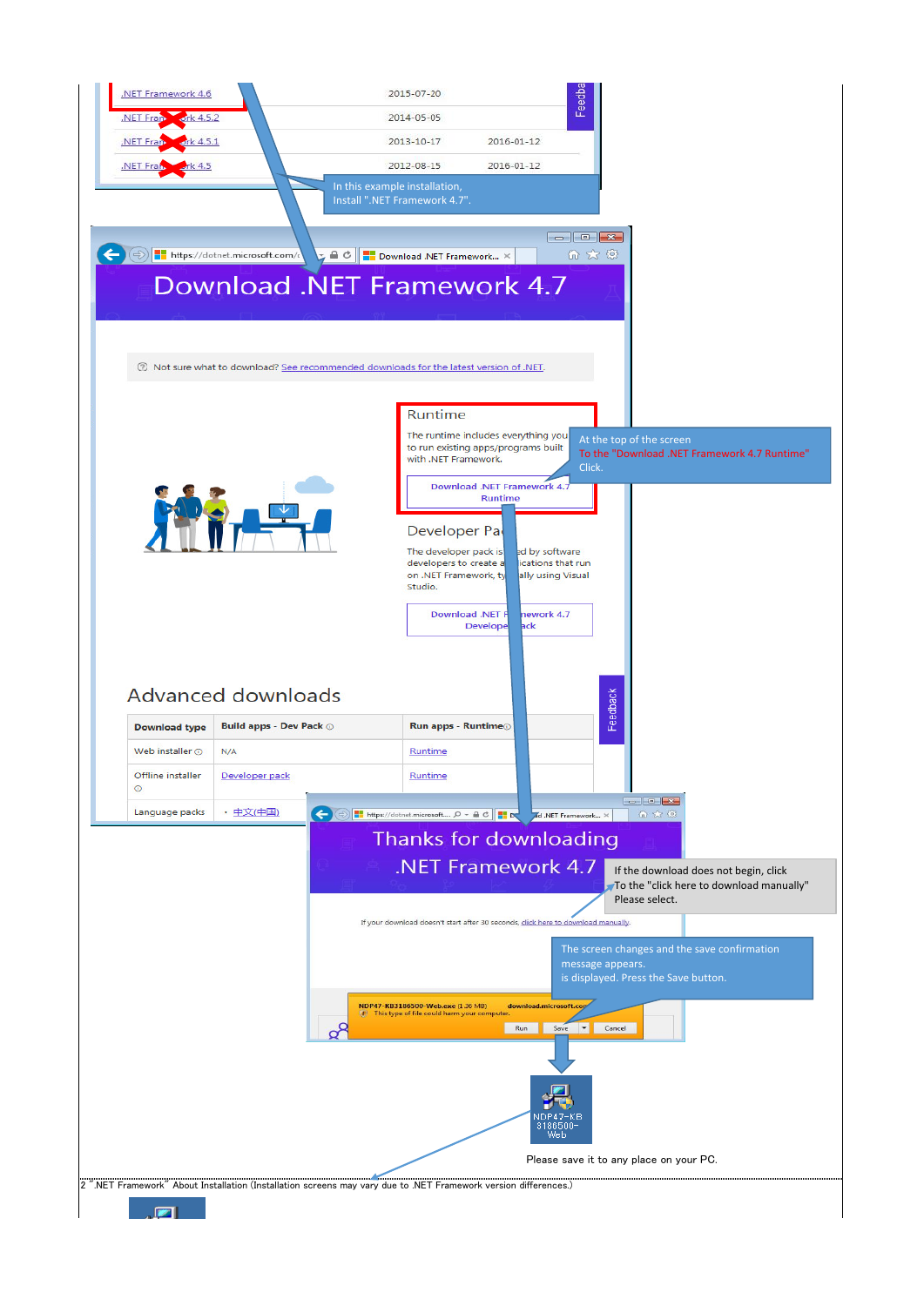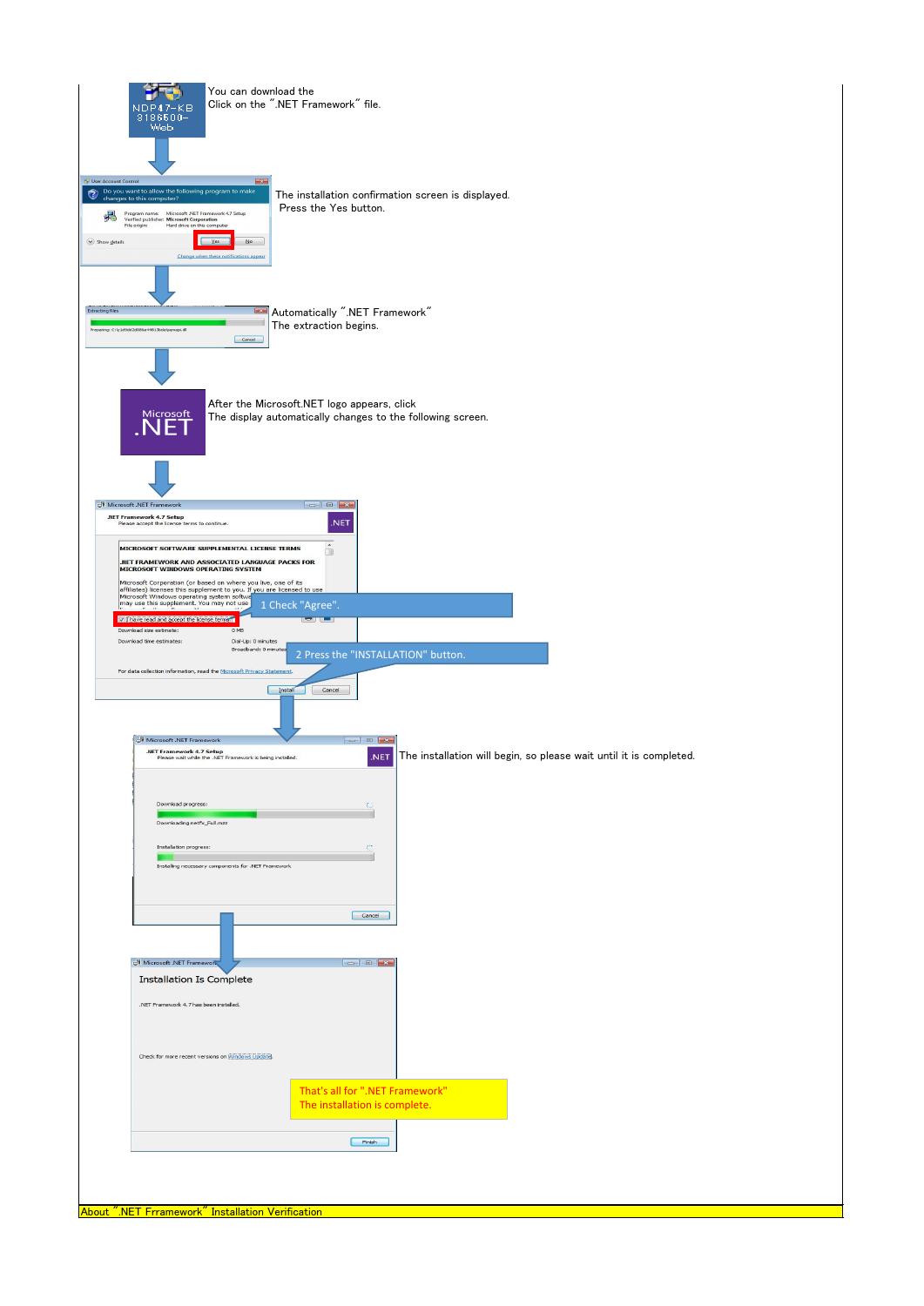